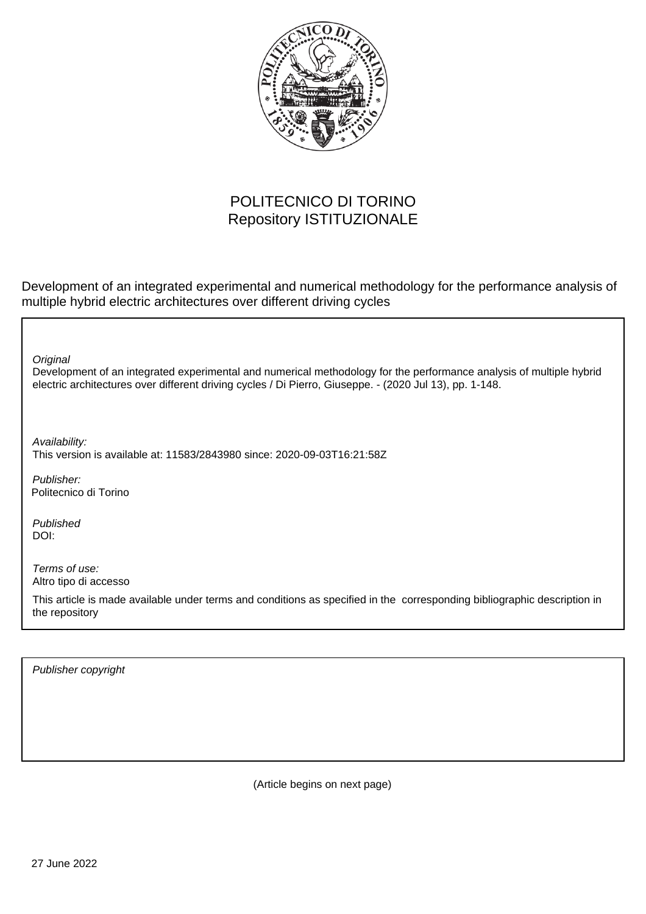

## POLITECNICO DI TORINO Repository ISTITUZIONALE

Development of an integrated experimental and numerical methodology for the performance analysis of multiple hybrid electric architectures over different driving cycles

**Original** 

Development of an integrated experimental and numerical methodology for the performance analysis of multiple hybrid electric architectures over different driving cycles / Di Pierro, Giuseppe. - (2020 Jul 13), pp. 1-148.

Availability: This version is available at: 11583/2843980 since: 2020-09-03T16:21:58Z

Publisher: Politecnico di Torino

Published DOI:

Terms of use: Altro tipo di accesso

This article is made available under terms and conditions as specified in the corresponding bibliographic description in the repository

Publisher copyright

(Article begins on next page)